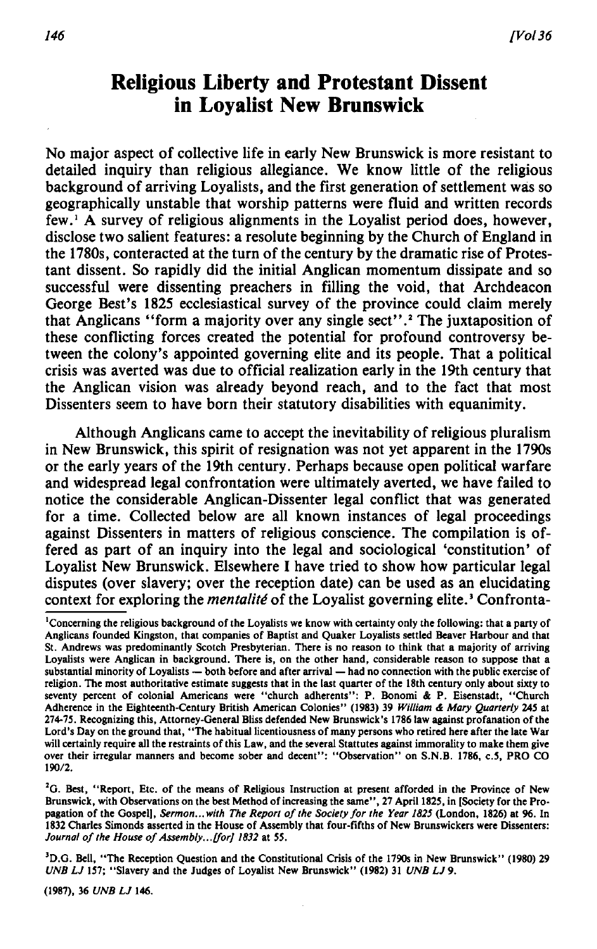## **Religious Liberty and Protestant Dissent in Loyalist New Brunswick**

No major aspect of collective life in early New Brunswick is more resistant to detailed inquiry than religious allegiance. We know little of the religious background of arriving Loyalists, and the first generation of settlement was so geographically unstable that worship patterns were fluid and written records few.1 A survey of religious alignments in the Loyalist period does, however, disclose two salient features: a resolute beginning by the Church of England in the 1780s, conteracted at the turn of the century by the dramatic rise of Protestant dissent. So rapidly did the initial Anglican momentum dissipate and so successful were dissenting preachers in filling the void, that Archdeacon George Best's 1825 ecclesiastical survey of the province could claim merely that Anglicans " form a majority over any single sect".<sup>2</sup> The juxtaposition of these conflicting forces created the potential for profound controversy between the colony's appointed governing elite and its people. That a political crisis was averted was due to official realization early in the 19th century that the Anglican vision was already beyond reach, and to the fact that most Dissenters seem to have bom their statutory disabilities with equanimity.

Although Anglicans came to accept the inevitability of religious pluralism in New Brunswick, this spirit of resignation was not yet apparent in the 1790s or the early years of the 19th century. Perhaps because open political warfare and widespread legal confrontation were ultimately averted, we have failed to notice the considerable Anglican-Dissenter legal conflict that was generated for a time. Collected below are all known instances of legal proceedings against Dissenters in matters of religious conscience. The compilation is offered as part of an inquiry into the legal and sociological 'constitution' of Loyalist New Brunswick. Elsewhere I have tried to show how particular legal disputes (over slavery; over the reception date) can be used as an elucidating context for exploring the *mentalité* of the Loyalist governing elite.<sup>3</sup> Confronta-

<sup>2</sup>G. Best, "Report, Etc. of the means of Religious Instruction at present afforded in the Province of New Brunswick, with Observations on the best Method of increasing the same" , 27 April 1825, in [Society for the Propagation of the Gospell, *Sermon...with The Report of the Society for the Year 1825* (London, 1826) at 96. In 1832 Charles Simonds asserted in the House of Assembly that four-fifths of New Brunswickers were Dissenters: Journal of the House of Assembly... [for] 1832 at 55.

<sup>3</sup>D.G. Bell, "The Reception Question and the Constitutional Crisis of the 1790s in New Brunswick" (1980) 29 *UNB LJ* 157; " Slavery and the Judges of Loyalist New Brunswick" (1982) 31 *UNB LJ9.*

(1987), 36 *UNB LJ* 146.

<sup>&</sup>lt;sup>1</sup> Concerning the religious background of the Loyalists we know with certainty only the following: that a party of Anglicans founded Kingston, that companies of Baptist and Quaker Loyalists settled Beaver Harbour and that St. Andrews was predominantly Scotch Presbyterian. There is no reason to think that a majority of arriving Loyalists were Anglican in background. There is, on the other hand, considerable reason to suppose that a substantial minority of Loyalists — both before and after arrival — had no connection with the public exercise of religion. The most authoritative estimate suggests that in the last quarter of the 18th century only about sixty to seventy percent of colonial Americans were "church adherents": P. Bonomi & P. Eisenstadt, "Church Adherence in the Eighteenth-Century British American Colonies" (1983) 39 *William & Mary Quarterly* 245 at 274-75. Recognizing this, Attorney-General Bliss defended New Brunswick's 1786 law against profanation of the Lord's Day on the ground that, "The habitual licentiousness of many persons who retired here after the late War will certainly require all the restraints of this Law, and the several Stattutes against immorality to make them give over their irregular manners and become sober and decent": "Observation" on S.N.B. 1786, c.5, PRO CO 190/2.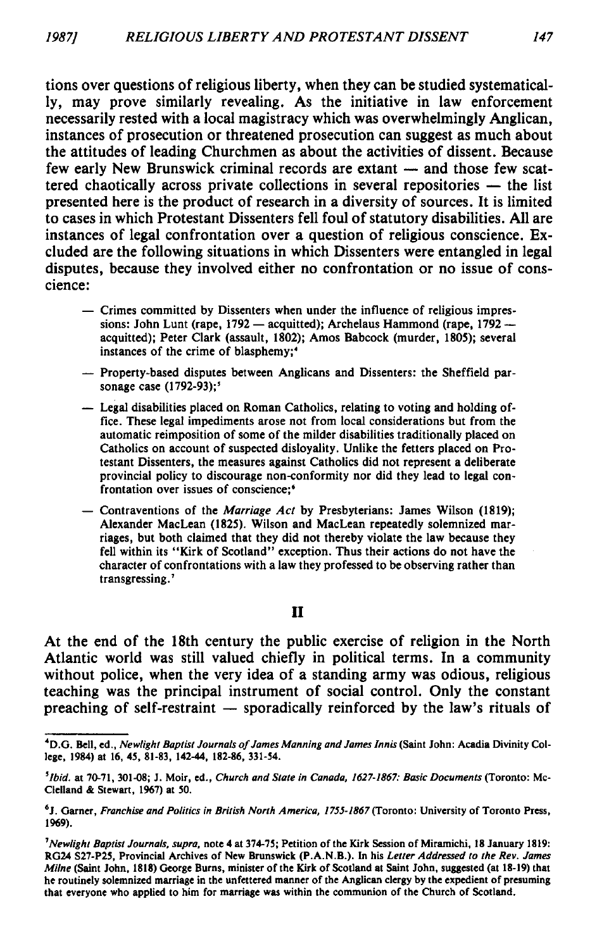tions over questions of religious liberty, when they can be studied systematically, may prove similarly revealing. As the initiative in law enforcement necessarily rested with a local magistracy which was overwhelmingly Anglican, instances of prosecution or threatened prosecution can suggest as much about the attitudes of leading Churchmen as about the activities of dissent. Because few early New Brunswick criminal records are extant — and those few scattered chaotically across private collections in several repositories — the list presented here is the product of research in a diversity of sources. It is limited to cases in which Protestant Dissenters fell foul of statutory disabilities. All are instances of legal confrontation over a question of religious conscience. Excluded are the following situations in which Dissenters were entangled in legal disputes, because they involved either no confrontation or no issue of conscience:

- Crimes committed by Dissenters when under the influence of religious impressions: John Lunt (rape, 1792 — acquitted); Archelaus Hammond (rape, 1792 acquitted); Peter Clark (assault, 1802); Amos Babcock (murder, 1805); several instances of the crime of blasphemy;<sup>4</sup>
- Property-based disputes between Anglicans and Dissenters: the Sheffield parsonage case (1792-93);'
- Legal disabilities placed on Roman Catholics, relating to voting and holding office. These legal impediments arose not from local considerations but from the automatic reimposition of some of the milder disabilities traditionally placed on Catholics on account of suspected disloyality. Unlike the fetters placed on Protestant Dissenters, the measures against Catholics did not represent a deliberate provincial policy to discourage non-conformity nor did they lead to legal confrontation over issues of conscience:<sup>6</sup>
- Contraventions of the *Marriage A ct* by Presbyterians: James Wilson (1819); Alexander MacLean (1825). Wilson and MacLean repeatedly solemnized marriages, but both claimed that they did not thereby violate the law because they fell within its "Kirk of Scotland" exception. Thus their actions do not have the character of confrontations with a law they professed to be observing rather than transgressing.<sup>7</sup>

## **II**

At the end of the 18th century the public exercise of religion in the North Atlantic world was still valued chiefly in political terms. In a community without police, when the very idea of a standing army was odious, religious teaching was the principal instrument of social control. Only the constant preaching of self-restraint — sporadically reinforced by the law's rituals of

<sup>4</sup>D.G. Bell, ed., *Newlight Baptist Journals of James Manning and James Innis* (Saint John: Acadia Divinity College, 1984) at 16, 45, 81-83, 142-44, 182-86, 331-54.

*<sup>5</sup>Ibid.* at 70-71, 301-08; J. Moir, ed., *Church and State in Canada, 1627-1867: Basic Documents* (Toronto: Mc-Clelland & Stewart, 1967) at 50.

<sup>6</sup>J. Garner, *Franchise and Politics in British North America, 1755-1867* (Toronto: University of Toronto Press, 1969).

*<sup>1</sup>Newlight Baptist Journals, supra,* note 4 at 374-75; Petition of the Kirk Session of Miramichi, 18 January 1819: RG24 S27-P25, Provincial Archives of New Brunswick (P.A.N.B.). In his *Letter Addressed to the Rev. James Milne* (Saint John, 1818) George Burns, minister of the Kirk of Scotland at Saint John, suggested (at 18-19) that he routinely solemnized marriage in the unfettered manner of the Anglican clergy by the expedient of presuming that everyone who applied to him for marriage was within the communion of the Church of Scotland.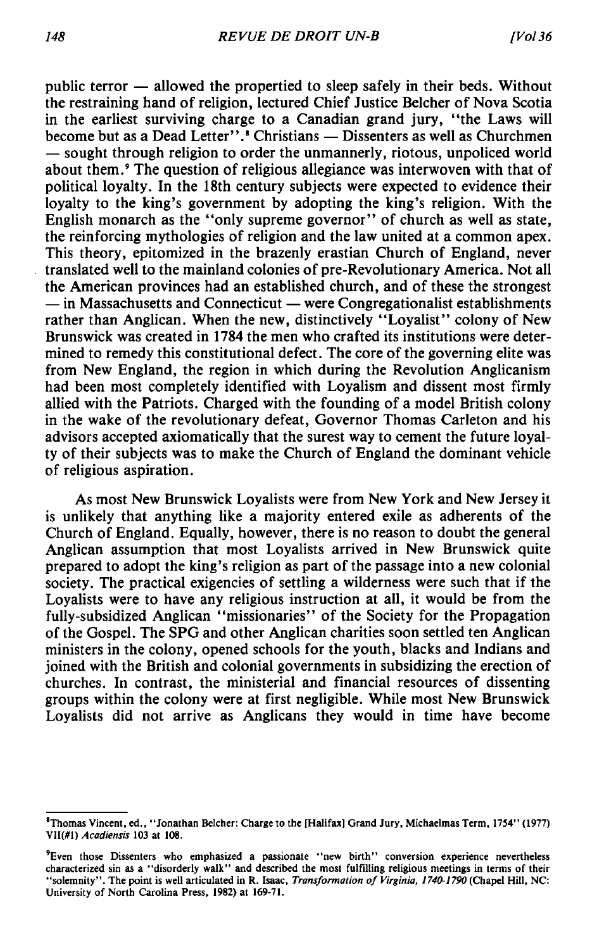public terror — allowed the propertied to sleep safely in their beds. Without the restraining hand of religion, lectured Chief Justice Belcher of Nova Scotia in the earliest surviving charge to a Canadian grand jury, " the Laws will become but as a Dead Letter".<sup>8</sup> Christians — Dissenters as well as Churchmen — sought through religion to order the unmannerly, riotous, unpoliced world about them.9 The question of religious allegiance was interwoven with that of political loyalty. In the 18th century subjects were expected to evidence their loyalty to the king's government by adopting the king's religion. With the English monarch as the "only supreme governor" of church as well as state, the reinforcing mythologies of religion and the law united at a common apex. This theory, epitomized in the brazenly erastian Church of England, never translated well to the mainland colonies of pre-Revolutionary America. Not all the American provinces had an established church, and of these the strongest — in Massachusetts and Connecticut — were Congregationalist establishments rather than Anglican. When the new, distinctively "Loyalist" colony of New Brunswick was created in 1784 the men who crafted its institutions were determined to remedy this constitutional defect. The core of the governing elite was from New England, the region in which during the Revolution Anglicanism had been most completely identified with Loyalism and dissent most firmly allied with the Patriots. Charged with the founding of a model British colony in the wake of the revolutionary defeat, Governor Thomas Carleton and his advisors accepted axiomatically that the surest way to cement the future loyalty of their subjects was to make the Church of England the dominant vehicle of religious aspiration.

As most New Brunswick Loyalists were from New York and New Jersey it is unlikely that anything like a majority entered exile as adherents of the Church of England. Equally, however, there is no reason to doubt the general Anglican assumption that most Loyalists arrived in New Brunswick quite prepared to adopt the king's religion as part of the passage into a new colonial society. The practical exigencies of settling a wilderness were such that if the Loyalists were to have any religious instruction at all, it would be from the fully-subsidized Anglican " missionaries" of the Society for the Propagation of the Gospel. The SPG and other Anglican charities soon settled ten Anglican ministers in the colony, opened schools for the youth, blacks and Indians and joined with the British and colonial governments in subsidizing the erection of churches. In contrast, the ministerial and financial resources of dissenting groups within the colony were at first negligible. While most New Brunswick Loyalists did not arrive as Anglicans they would in time have become

<sup>&#</sup>x27;Thomas Vincent, ed., " Jonathan Belcher: Charge to the [Halifax] Grand Jury, Michaelmas Term, 1754" (1977) VII(#1) *Acadiensis* 103 at 108.

<sup>&#</sup>x27;Even those Dissenters who emphasized a passionate " new birth" conversion experience nevertheless characterized sin as a " disorderly walk" and described the most fulfilling religious meetings in terms of their "solemnity". The point is well articulated in R. Isaac, *Transformation of Virginia, 1740-1790* (Chapel Hill, NC: University of North Carolina Press, 1982) at 169-71.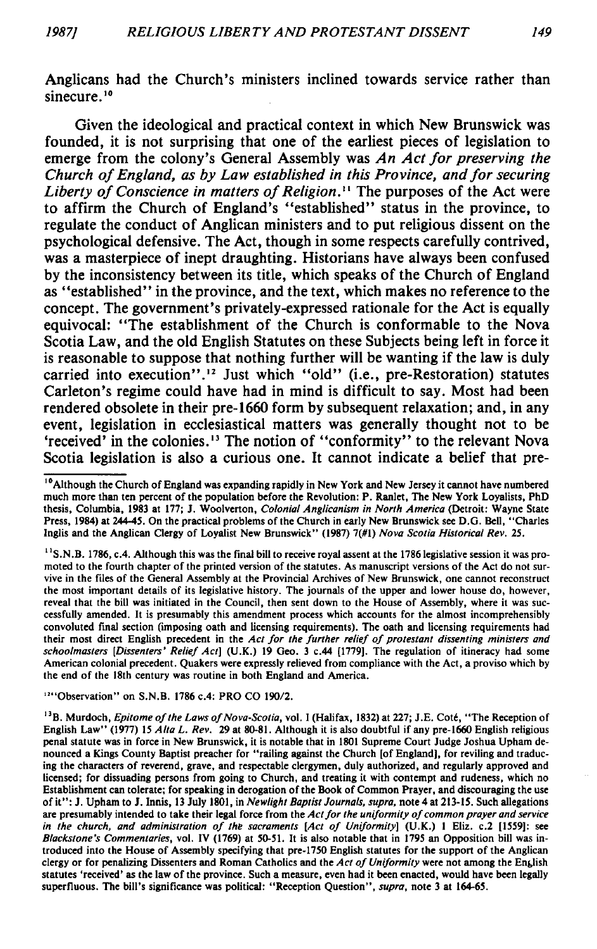Anglicans had the Church's ministers inclined towards service rather than sinecure.<sup>10</sup>

Given the ideological and practical context in which New Brunswick was founded, it is not surprising that one of the earliest pieces of legislation to emerge from the colony's General Assembly was *An Act for preserving the Church of England, as by Law established in this Province, and for securing Liberty of Conscience in matters of Religion.*<sup>11</sup> The purposes of the Act were to affirm the Church of England's " established" status in the province, to regulate the conduct of Anglican ministers and to put religious dissent on the psychological defensive. The Act, though in some respects carefully contrived, was a masterpiece of inept draughting. Historians have always been confused by the inconsistency between its title, which speaks of the Church of England as " established" in the province, and the text, which makes no reference to the concept. The government's privately-expressed rationale for the Act is equally equivocal: " The establishment of the Church is conformable to the Nova Scotia Law, and the old English Statutes on these Subjects being left in force it is reasonable to suppose that nothing further will be wanting if the law is duly carried into execution".<sup>12</sup> Just which "old" (i.e., pre-Restoration) statutes Carleton's regime could have had in mind is difficult to say. Most had been rendered obsolete in their pre-1660 form by subsequent relaxation; and, in any event, legislation in ecclesiastical matters was generally thought not to be 'received' in the colonies.<sup>13</sup> The notion of "conformity" to the relevant Nova Scotia legislation is also a curious one. It cannot indicate a belief that pre-

 $<sup>11</sup>$ S.N.B. 1786, c.4. Although this was the final bill to receive royal assent at the 1786 legislative session it was pro-</sup> moted to the fourth chapter of the printed version of the statutes. As manuscript versions of the Act do not survive in the files of the General Assembly at the Provincial Archives of New Brunswick, one cannot reconstruct the most important details of its legislative history. The journals of the upper and lower house do, however, reveal that the bill was initiated in the Council, then sent down to the House of Assembly, where it was successfully amended. It is presumably this amendment process which accounts for the almost incomprehensibly convoluted final section (imposing oath and licensing requirements). The oath and licensing requirements had their most direct English precedent in the *Act for the further relief of protestant dissenting ministers and schoolmasters [Dissenters' Relief Act]* (U.K.) 19 Geo. 3 c.44 [1779]. The regulation of itineracy had some American colonial precedent. Quakers were expressly relieved from compliance with the Act, a proviso which by the end of the 18th century was routine in both England and America.

12" Observation" on S.N.B. 1786 c.4: PRO CO 190/2.

<sup>&</sup>lt;sup>10</sup> Although the Church of England was expanding rapidly in New York and New Jersey it cannot have numbered much more than ten percent of the population before the Revolution: P. Ranlet, The New York Loyalists, PhD thesis, Columbia, 1983 at 177; J. Woolverton, *Colonial Anglicanism in North America* (Detroit: Wayne State Press, 1984) at 244-45. On the practical problems of the Church in early New Brunswick see D.G. Bell, " Charles Inglis and the Anglican Clergy of Loyalist New Brunswick" (1987) 7(#1) *Nova Scotia Historical Rev.* 25.

<sup>&</sup>lt;sup>13</sup>B. Murdoch, *Epitome of the Laws of Nova-Scotia*, vol. I (Halifax, 1832) at 227; J.E. Coté, "The Reception of English Law" (1977) 15 *Alta L. Rev.* 29 at 80-81. Although it is also doubtful if any pre-1660 English religious penal statute was in force in New Brunswick, it is notable that in 1801 Supreme Court Judge Joshua Upham denounced a Kings County Baptist preacher for " railing against the Church [of England], for reviling and traducing the characters of reverend, grave, and respectable clergymen, duly authorized, and regularly approved and licensed; for dissuading persons from going to Church, and treating it with contempt and rudeness, which no Establishment can tolerate; for speaking in derogation of the Book of Common Prayer, and discouraging the use of it" : J. Upham to J. Innis, 13 July 1801, in *Newlight Baptist Journals, supra,* note 4 at 213-15. Such allegations are presumably intended to take their legal force from the *Act for the uniformity of common prayer and service in the church, and administration of the sacraments [Act of Uniformity*] (U.K.) 1 Eliz. c.2 [1559]: see *Blackstone's Commentaries,* vol. IV (1769) at 50-51. It is also notable that in 1795 an Opposition bill was introduced into the House of Assembly specifying that pre-1750 English statutes for the support of the Anglican clergy or for penalizing Dissenters and Roman Catholics and the *Act of Uniformity* were not among the English statutes 'received' as the law of the province. Such a measure, even had it been enacted, would have been legally superfluous. The bill's significance was political: " Reception Question" , *supra,* note 3 at 164-65.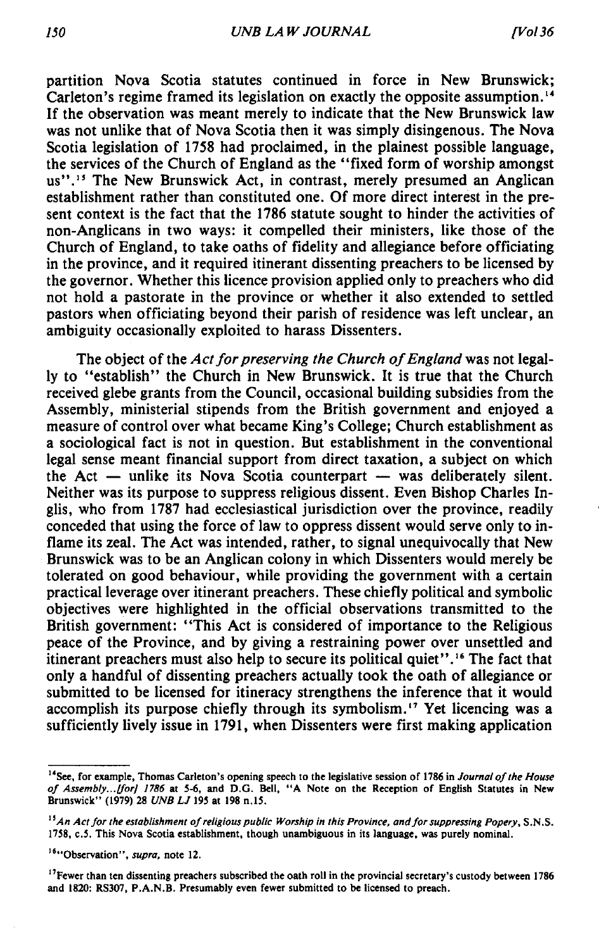partition Nova Scotia statutes continued in force in New Brunswick; Carleton's regime framed its legislation on exactly the opposite assumption.<sup>14</sup> If the observation was meant merely to indicate that the New Brunswick law was not unlike that of Nova Scotia then it was simply disingenous. The Nova Scotia legislation of 1758 had proclaimed, in the plainest possible language, the services of the Church of England as the " fixed form of worship amongst us".<sup>15</sup> The New Brunswick Act, in contrast, merely presumed an Anglican establishment rather than constituted one. Of more direct interest in the present context is the fact that the 1786 statute sought to hinder the activities of non-Anglicans in two ways: it compelled their ministers, like those of the Church of England, to take oaths of fidelity and allegiance before officiating in the province, and it required itinerant dissenting preachers to be licensed by the governor. Whether this licence provision applied only to preachers who did not hold a pastorate in the province or whether it also extended to settled pastors when officiating beyond their parish of residence was left unclear, an ambiguity occasionally exploited to harass Dissenters.

The object of the *Act for preserving the Church of England* was not legally to " establish" the Church in New Brunswick. It is true that the Church received glebe grants from the Council, occasional building subsidies from the Assembly, ministerial stipends from the British government and enjoyed a measure of control over what became King's College; Church establishment as a sociological fact is not in question. But establishment in the conventional legal sense meant financial support from direct taxation, a subject on which the Act — unlike its Nova Scotia counterpart — was deliberately silent. Neither was its purpose to suppress religious dissent. Even Bishop Charles Inglis, who from 1787 had ecclesiastical jurisdiction over the province, readily conceded that using the force of law to oppress dissent would serve only to inflame its zeal. The Act was intended, rather, to signal unequivocally that New Brunswick was to be an Anglican colony in which Dissenters would merely be tolerated on good behaviour, while providing the government with a certain practical leverage over itinerant preachers. These chiefly political and symbolic objectives were highlighted in the official observations transmitted to the British government: "This Act is considered of importance to the Religious peace of the Province, and by giving a restraining power over unsettled and itinerant preachers must also help to secure its political quiet".<sup>16</sup> The fact that only a handful of dissenting preachers actually took the oath of allegiance or submitted to be licensed for itineracy strengthens the inference that it would accomplish its purpose chiefly through its symbolism.<sup>17</sup> Yet licencing was a sufficiently lively issue in 1791, when Dissenters were first making application

<sup>&</sup>lt;sup>14</sup>See, for example, Thomas Carleton's opening speech to the legislative session of 1786 in *Journal of the House* of Assembly...[for] 1786 at 5-6, and D.G. Bell, "A Note on the Reception of English Statutes in New Brunswick" (1979) 28 *UNB LJ* 195 at 198 n.15.

<sup>&</sup>lt;sup>15</sup> An Act for the establishment of religious public Worship in this Province, and for suppressing Popery, S.N.S. 1758, c.5. This Nova Scotia establishment, though unambiguous in its language, was purely nominal.

<sup>&</sup>lt;sup>16</sup>"Observation", *supra*, note 12.

<sup>&</sup>lt;sup>17</sup>Fewer than ten dissenting preachers subscribed the oath roll in the provincial secretary's custody between 1786 and 1820: RS307, P.A.N.B. Presumably even fewer submitted to be licensed to preach.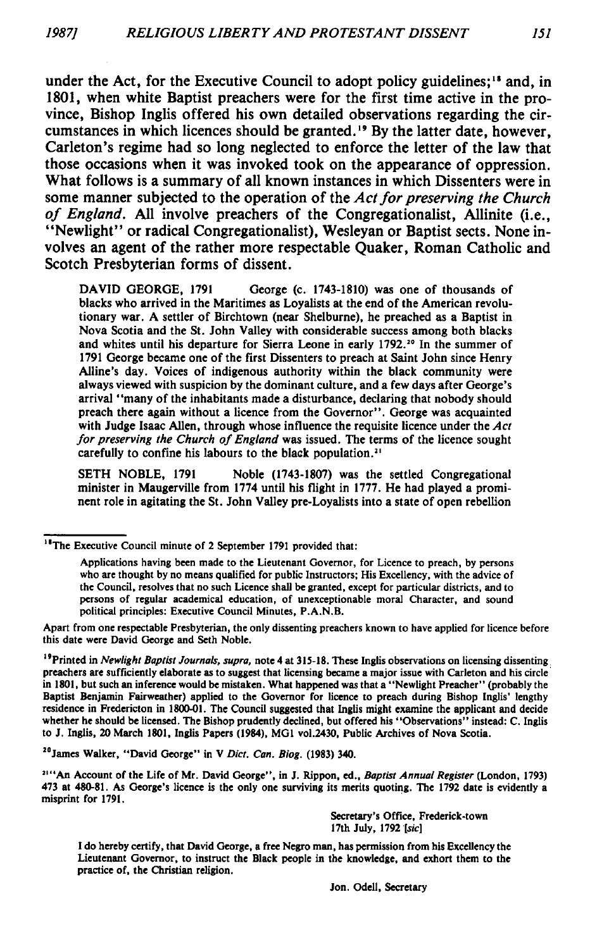under the Act, for the Executive Council to adopt policy guidelines;<sup>18</sup> and, in 1801, when white Baptist preachers were for the first time active in the province, Bishop Inglis offered his own detailed observations regarding the circumstances in which licences should be granted.19 By the latter date, however, Carleton's regime had so long neglected to enforce the letter of the law that those occasions when it was invoked took on the appearance of oppression. What follows is a summary of all known instances in which Dissenters were in some manner subjected to the operation of the *Act for preserving the Church of England.* All involve preachers of the Congregationalist. Allinite (i.e., " Newlight" or radical Congregationalist), Wesleyan or Baptist sects. None involves an agent of the rather more respectable Quaker, Roman Catholic and Scotch Presbyterian forms of dissent.

DAVID GEORGE, 1791 George (c. 1743-1810) was one of thousands of blacks who arrived in the Maritimes as Loyalists at the end of the American revolutionary war. A settler of Birchtown (near Shelburne), he preached as a Baptist in Nova Scotia and the St. John Valley with considerable success among both blacks and whites until his departure for Sierra Leone in early 1792.<sup>20</sup> In the summer of 1791 George became one of the first Dissenters to preach at Saint John since Henry Alline's day. Voices of indigenous authority within the black community were always viewed with suspicion by the dominant culture, and a few days after George's arrival "many of the inhabitants made a disturbance, declaring that nobody should preach there again without a licence from the Governor". George was acquainted with Judge Isaac Allen, through whose influence the requisite licence under the *Act for preserving the Church of England* was issued. The terms of the licence sought carefully to confine his labours to the black population.<sup>21</sup>

SETH NOBLE, 1791 Noble (1743-1807) was the settled Congregational minister in Maugerville from 1774 until his flight in 1777. He had played a prominent role in agitating the St. John Valley pre-Loyalists into a state of open rebellion

20James Walker, " David George" in V *Diet. Can. Biog.* (1983) 340.

JI" An Account of the Life of Mr. David George" , in J. Rippon, ed., *Baptist Annual Register* (London, 1793) 473 at 480-81. As George's licence is the only one surviving its merits quoting. The 1792 date is evidently a misprint for 1791.

> Secretary's Office, Frederick-town 17th July, 1792 [sic]

I do hereby certify, that David George, a free Negro man, has permission from his Excellency the Lieutenant Governor, to instruct the Black people in the knowledge, and exhort them to the practice of, the Christian religion.

<sup>&</sup>lt;sup>18</sup>The Executive Council minute of 2 September 1791 provided that:

Applications having been made to the Lieutenant Governor, for Licence to preach, by persons who are thought by no means qualified for public Instructors; His Excellency, with the advice of the Council, resolves that no such Licence shall be granted, except for particular districts, and to persons of regular academical education, of unexceptionable moral Character, and sound political principles: Executive Council Minutes, P.A.N.B.

Apart from one respectable Presbyterian, the only dissenting preachers known to have applied for licence before this date were David George and Seth Noble.

<sup>19</sup>Printed in *Newlight Baptist Journals, supra,* note 4 at 315-18. These Inglis observations on licensing dissenting preachers are sufficiently elaborate as to suggest that licensing became a major issue with Carleton and his circle in 1801, but such an inference would be mistaken. What happened was that a " Newlight Preacher" (probably the Baptist Benjamin Fairweather) applied to the Governor for licence to preach during Bishop Inglis' lengthy residence in Fredericton in 1800-01. The Council suggested that Inglis might examine the applicant and decide whether he should be licensed. The Bishop prudently declined, but offered his "Observations" instead: C. Inglis to J. Inglis, 20 March 1801, Inglis Papers (1984), MG1 vol.2430, Public Archives of Nova Scotia.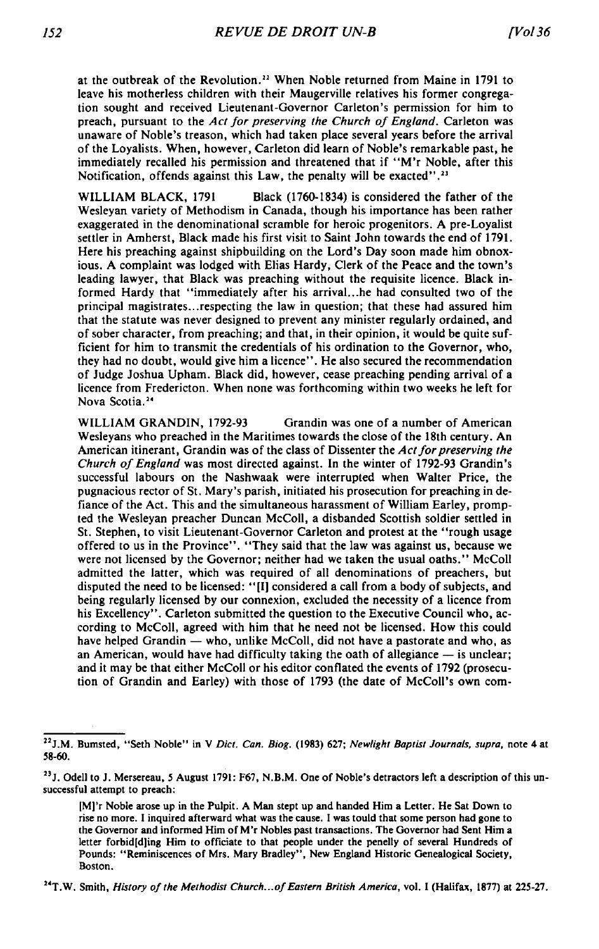at the outbreak of the Revolution.<sup>22</sup> When Noble returned from Maine in 1791 to leave his motherless children with their Maugerville relatives his former congregation sought and received Lieutenant-Governor Carleton's permission for him to preach, pursuant to the *Act for preserving the Church of England*. Carleton was unaware of Noble's treason, which had taken place several years before the arrival of the Loyalists. W hen, however, Carleton did learn of Noble's remarkable past, he immediately recalled his permission and threatened that if "M'r Noble, after this Notification, offends against this Law, the penalty will be exacted".<sup>23</sup>

WILLIAM BLACK, 1791 Black (1760-1834) is considered the father of the Wesleyan variety of Methodism in Canada, though his importance has been rather exaggerated in the denominational scramble for heroic progenitors. A pre-Loyalist settler in Amherst, Black made his first visit to Saint John towards the end of 1791. Here his preaching against shipbuilding on the Lord's Day soon made him obnoxious. A complaint was lodged with Elias Hardy, Clerk of the Peace and the town's leading lawyer, that Black was preaching without the requisite licence. Black informed Hardy that "immediately after his arrival...he had consulted two of the principal magistrates...respecting the law in question; that these had assured him that the statute was never designed to prevent any minister regularly ordained, and of sober character, from preaching; and that, in their opinion, it would be quite sufficient for him to transmit the credentials of his ordination to the Governor, who, they had no doubt, would give him a licence" . He also secured the recommendation of Judge Joshua Upham. Black did, however, cease preaching pending arrival of a licence from Fredericton. When none was forthcoming within two weeks he left for Nova Scotia.24

WILLIAM GRANDIN, 1792-93 Grandin was one of a number of American Wesleyans who preached in the Maritimes towards the close of the 18th century. An American itinerant, Grandin was of the class of Dissenter the *Act for preserving the Church of England* was most directed against. In the winter of 1792-93 Grandin's successful labours on the Nashwaak were interrupted when Walter Price, the pugnacious rector of St. Mary's parish, initiated his prosecution for preaching in defiance of the Act. This and the simultaneous harassment of William Earley, prompted the Wesleyan preacher Duncan McColl, a disbanded Scottish soldier settled in St. Stephen, to visit Lieutenant-Governor Carleton and protest at the " rough usage offered to us in the Province" . " They said that the law was against us, because we were not licensed by the Governor; neither had we taken the usual oaths." McColl admitted the latter, which was required of all denominations of preachers, but disputed the need to be licensed: " [I] considered a call from a body of subjects, and being regularly licensed by our connexion, excluded the necessity of a licence from his Excellency". Carleton submitted the question to the Executive Council who, according to McColl, agreed with him that he need not be licensed. How this could have helped Grandin — who, unlike McColl, did not have a pastorate and who, as an American, would have had difficulty taking the oath of allegiance — is unclear; and it may be that either McColl or his editor conflated the events of 1792 (prosecution of Grandin and Earley) with those of 1793 (the date of McColl's own com-

 $152$ 

<sup>24</sup>T.W. Smith, *History of the Methodist Church...of Eastern British America*, vol. I (Halifax, 1877) at 225-27.

<sup>22</sup>J.M. Bumsted, " Seth Noble" in V *Diet. Can. Biog.* (1983) 627; *New light Baptist Journals, supra,* note 4 at 58-60.

<sup>&</sup>lt;sup>23</sup>J. Odell to J. Mersereau, 5 August 1791: F67, N.B.M. One of Noble's detractors left a description of this unsuccessful attempt to preach:

<sup>[</sup>M]'r Noble arose up in the Pulpit. A Man stept up and handed Him a Letter. He Sat Down to rise no more. I inquired afterward what was the cause. I was tould that some person had gone to the Governor and informed Him of M'r Nobles past transactions. The Governor had Sent Him a letter forbid[d]ing Him to officiate to that people under the penelly of several Hundreds of Pounds: "Reminiscences of Mrs. Mary Bradley", New England Historic Genealogical Society, Boston.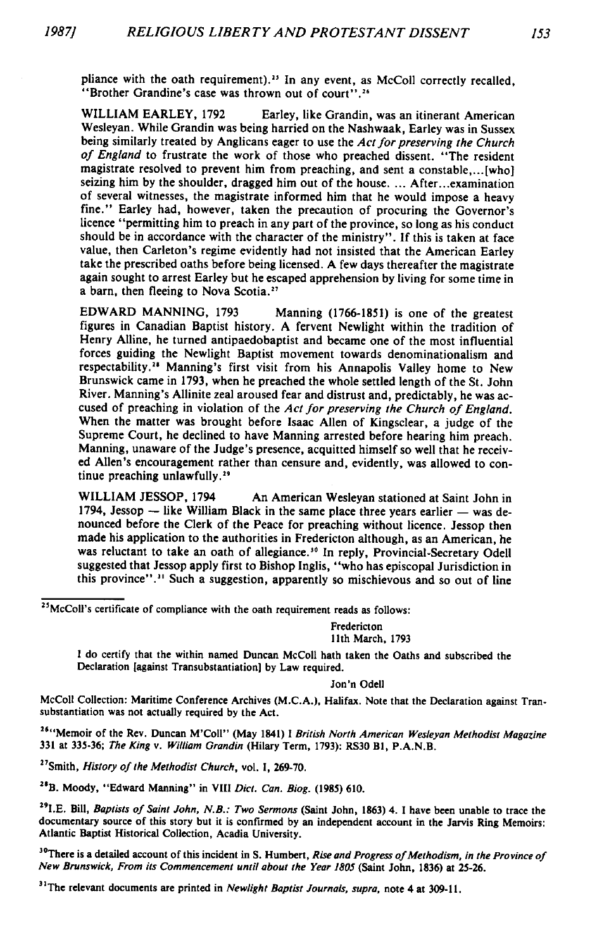pliance with the oath requirement).<sup>25</sup> In any event, as McColl correctly recalled, " Brother Grandine's case was thrown out of court" .26

WILLIAM EARLEY, 1792 Earley, like Grandin, was an itinerant American Wesleyan. While Grandin was being harried on the Nashwaak, Earley was in Sussex being similarly treated by Anglicans eager to use the *Act for preserving the Church* of England to frustrate the work of those who preached dissent. "The resident magistrate resolved to prevent him from preaching, and sent a constable,...[who] seizing him by the shoulder, dragged him out of the house. ... After...examination of several witnesses, the magistrate informed him that he would impose a heavy fine." Earley had, however, taken the precaution of procuring the Governor's licence " permitting him to preach in any part of the province, so long as his conduct should be in accordance with the character of the ministry" . If this is taken at face value, then Carleton's regime evidently had not insisted that the American Earley take the prescribed oaths before being licensed. A few days thereafter the magistrate again sought to arrest Earley but he escaped apprehension by living for some time in a barn, then fleeing to Nova Scotia.<sup>27</sup>

EDWARD MANNING, 1793 Manning (1766-1851) is one of the greatest figures in Canadian Baptist history. A fervent Newlight within the tradition of Henry Alline, he turned antipaedobaptist and became one of the most influential forces guiding the Newlight Baptist movement towards denominationalism and respectability.<sup>24</sup> Manning's first visit from his Annapolis Valley home to New Brunswick came in 1793, when he preached the whole settled length of the St. John River. Manning's Allinite zeal aroused fear and distrust and, predictably, he was accused of preaching in violation of the *Act for preserving the Church of England*. When the matter was brought before Isaac Allen of Kingsclear, a judge of the Supreme Court, he declined to have Manning arrested before hearing him preach. Manning, unaware of the Judge's presence, acquitted himself so well that he received Allen's encouragement rather than censure and, evidently, was allowed to continue preaching unlawfully.<sup>29</sup>

WILLIAM JESSOP, 1794 An American Wesleyan stationed at Saint John in 1794, Jessop — like William Black in the same place three years earlier — was denounced before the Clerk of the Peace for preaching without licence. Jessop then made his application to the authorities in Fredericton although, as an American, he was reluctant to take an oath of allegiance.<sup>30</sup> In reply, Provincial-Secretary Odell suggested that Jessop apply first to Bishop Inglis, " who has episcopal Jurisdiction in this province".<sup>31</sup> Such a suggestion, apparently so mischievous and so out of line

<sup>25</sup>McColl's certificate of compliance with the oath requirement reads as follows:

Fredericton 11th March, 1793

I do certify that the within named Duncan McColl hath taken the Oaths and subscribed the Declaration [against Transubstantiation] by Law required.

Jon'n Odell

McColl Collection: Maritime Conference Archives (M.C.A.), Halifax. Note that the Declaration against Transubstantiation was not actually required by the Act.

<sup>26</sup>" Memoir of the Rev. Duncan M'Coll" (May 1841) I *British North American Wesleyan Methodist Magazine* 331 at 335-36; *The King* v. *William Grandin* (Hilary Term, 1793): RS30 Bl, P.A.N.B.

<sup>27</sup>Smith, *History of the Methodist Church*, vol. I, 269-70.

<sup>28</sup>B. Moody, "Edward Manning" in VIII *Dict. Can. Biog.* (1985) 610.

<sup>29</sup>I.E. Bill, *Baptists of Saint John, N.B.: Two Sermons* (Saint John, 1863) 4. I have been unable to trace the documentary source of this story but it is confirmed by an independent account in the Jarvis Ring Memoirs: Atlantic Baptist Historical Collection, Acadia University.

<sup>30</sup>There is a detailed account of this incident in S. Humbert, *Rise and Progress of Methodism*, in the Province of *New Brunswick, From its Commencement until about the Year 1805* (Saint John, 1836) at 25-26.

<sup>31</sup>The relevant documents are printed in Newlight Baptist Journals, supra, note 4 at 309-11.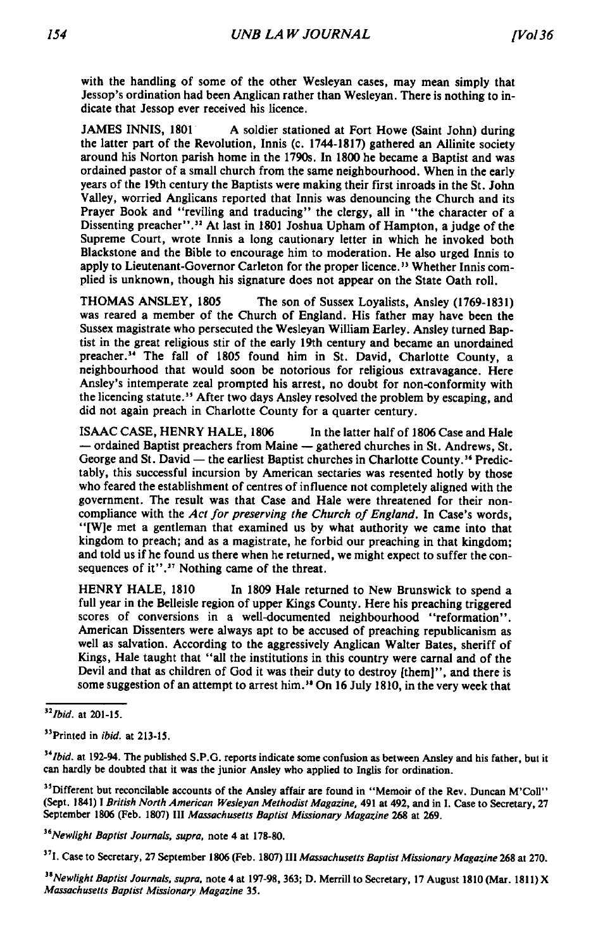with the handling of some of the other Wesleyan cases, may mean simply that Jessop's ordination had been Anglican rather than Wesleyan. There is nothing to indicate that Jessop ever received his licence.

JAMES INNIS, 1801 A soldier stationed at Fort Howe (Saint John) during the latter part of the Revolution, Innis (c. 1744-1817) gathered an Allinite society around his Norton parish home in the 1790s. In 1800 he became a Baptist and was ordained pastor of a small church from the same neighbourhood. When in the early years of the 19th century the Baptists were making their first inroads in the St. John Valley, worried Anglicans reported that Innis was denouncing the Church and its Prayer Book and "reviling and traducing" the clergy, all in "the character of a Dissenting preacher".<sup>32</sup> At last in 1801 Joshua Upham of Hampton, a judge of the Supreme Court, wrote Innis a long cautionary letter in which he invoked both Blackstone and the Bible to encourage him to moderation. He also urged Innis to apply to Lieutenant-Governor Carleton for the proper licence.<sup>33</sup> Whether Innis complied is unknown, though his signature does not appear on the State Oath roll.

THOMAS ANSLEY, 1805 The son of Sussex Loyalists, Ansley (1769-1831) was reared a member of the Church of England. His father may have been the Sussex magistrate who persecuted the Wesleyan William Earley. Ansley turned Baptist in the great religious stir of the early 19th century and became an unordained preacher.<sup>34</sup> The fall of 1805 found him in St. David, Charlotte County, a neighbourhood that would soon be notorious for religious extravagance. Here Ansley's intemperate zeal prompted his arrest, no doubt for non-conformity with the licencing statute.<sup>35</sup> After two days Ansley resolved the problem by escaping, and did not again preach in Charlotte County for a quarter century.

ISAAC CASE, HENRY HALE, 1806 In the latter half of 1806 Case and Hale — ordained Baptist preachers from Maine — gathered churches in St. Andrews, St. George and St. David — the earliest Baptist churches in Charlotte County.<sup>36</sup> Predictably, this successful incursion by American sectaries was resented hotly by those who feared the establishment of centres of influence not completely aligned with the government. The result was that Case and Hale were threatened for their noncompliance with the *Act for preserving the Church of England*. In Case's words, "[W]e met a gentleman that examined us by what authority we came into that kingdom to preach; and as a magistrate, he forbid our preaching in that kingdom; and told us if he found us there when he returned, we might expect to suffer the consequences of it".<sup>37</sup> Nothing came of the threat.

HENRY HALE, 1810 In 1809 Hale returned to New Brunswick to spend a full year in the Belleisle region of upper Kings County. Here his preaching triggered scores of conversions in a well-documented neighbourhood "reformation". American Dissenters were always apt to be accused of preaching republicanism as well as salvation. According to the aggressively Anglican Walter Bates, sheriff of Kings, Hale taught that "all the institutions in this country were carnal and of the Devil and that as children of God it was their duty to destroy [them]" , and there is some suggestion of an attempt to arrest him.<sup>34</sup> On 16 July 1810, in the very week that

*36Newlight Baptist Journals, supra,* note 4 at 178-80.

*n Ibid.* at 201-15.

<sup>33</sup>Printed in *ibid.* at 213-15.

<sup>&</sup>lt;sup>34</sup>Ibid. at 192-94. The published S.P.G. reports indicate some confusion as between Ansley and his father, but it can hardly be doubted that it was the junior Ansley who applied to Inglis for ordination.

<sup>&</sup>lt;sup>35</sup>Different but reconcilable accounts of the Ansley affair are found in "Memoir of the Rev. Duncan M'Coll" (Sept. 1841) I *British North American Wesleyan Methodist Magazine,* 491 at 492, and in I. Case to Secretary, 27 September 1806 (Feb. 1807) III *Massachusetts Baptist Missionary Magazine* 268 at 269.

<sup>37</sup>I. Case to Secretary, 27 September 1806 (Feb. 1807) III *Massachusetts Baptist Missionary Magazine* 268 at 270.

<sup>&</sup>lt;sup>38</sup> Newlight Baptist Journals, supra, note 4 at 197-98, 363; D. Merrill to Secretary, 17 August 1810 (Mar. 1811) X *Massachusetts Baptist Missionary Magazine* 35.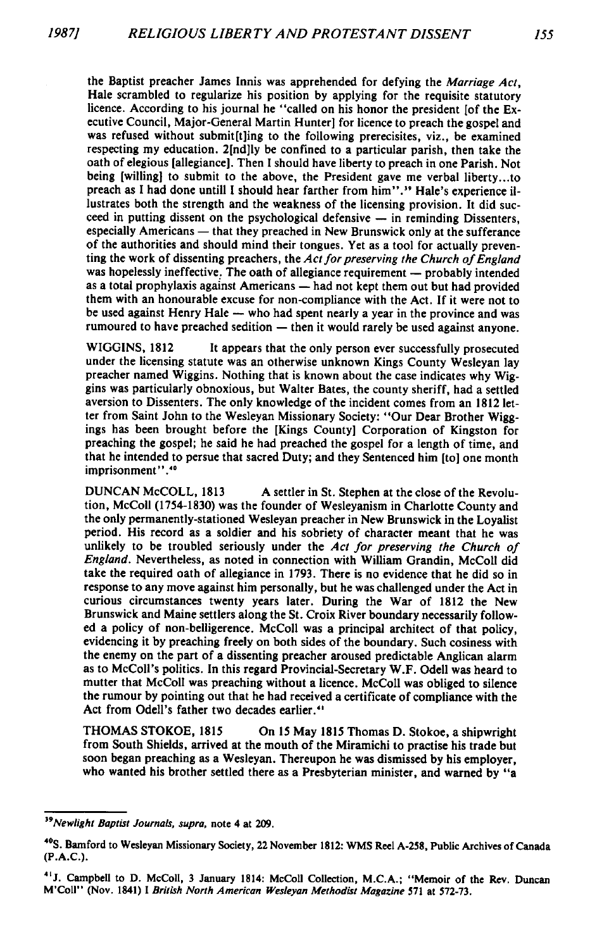the Baptist preacher James Innis was apprehended for defying the *Marriage Act,* Hale scrambled to regularize his position by applying for the requisite statutory licence. According to his journal he "called on his honor the president [of the Executive Council, Major-General Martin Hunter] for licence to preach the gospel and was refused without submititing to the following prerecisites, viz., be examined respecting my education. 2[nd]ly be confined to a particular parish, then take the oath of elegious [allegiance]. Then I should have liberty to preach in one Parish. Not being [willing] to submit to the above, the President gave me verbal liberty...to preach as I had done untill I should hear farther from him".<sup>39</sup> Hale's experience illustrates both the strength and the weakness of the licensing provision. It did succeed in putting dissent on the psychological defensive — in reminding Dissenters, especially Americans — that they preached in New Brunswick only at the sufferance of the authorities and should mind their tongues. Yet as a tool for actually preventing the work of dissenting preachers, the *Act for preserving the Church of England* was hopelessly ineffective. The oath of allegiance requirement — probably intended as a total prophylaxis against Americans — had not kept them out but had provided them with an honourable excuse for non-compliance with the Act. If it were not to be used against Henry Hale — who had spent nearly a year in the province and was rumoured to have preached sedition — then it would rarely be used against anyone.

WIGGINS, 1812 It appears that the only person ever successfully prosecuted under the licensing statute was an otherwise unknown Kings County Wesleyan lay preacher named Wiggins. Nothing that is known about the case indicates why Wiggins was particularly obnoxious, but Walter Bates, the county sheriff, had a settled aversion to Dissenters. The only knowledge of the incident comes from an 1812 letter from Saint John to the Wesleyan Missionary Society: " Our Dear Brother Wiggings has been brought before the [Kings County] Corporation of Kingston for preaching the gospel; he said he had preached the gospel for a length of time, and that he intended to persue that sacred Duty; and they Sentenced him [to] one month imprisonment".<sup>40</sup>

DUNCAN McCOLL, 1813 A settler in St. Stephen at the close of the Revolution, McColl (1754-1830) was the founder of Wesleyanism in Charlotte County and the only permanently-stationed Wesleyan preacher in New Brunswick in the Loyalist period. His record as a soldier and his sobriety of character meant that he was unlikely to be troubled seriously under the *Act for preserving the Church of England.* Nevertheless, as noted in connection with William Grandin, McColl did take the required oath of allegiance in 1793. There is no evidence that he did so in response to any move against him personally, but he was challenged under the Act in curious circumstances twenty years later. During the War of 1812 the New Brunswick and Maine settlers along the St. Croix River boundary necessarily followed a policy of non-belligerence. McColl was a principal architect of that policy, evidencing it by preaching freely on both sides of the boundary. Such cosiness with the enemy on the part of a dissenting preacher aroused predictable Anglican alarm as to McColl's politics. In this regard Provincial-Secretary W .F. Odell was heard to mutter that McColl was preaching without a licence. McColl was obliged to silence the rum our by pointing out that he had received a certificate of compliance with the Act from Odell's father two decades earlier.<sup>41</sup>

THOMAS STOKOE, 1815 On 15 May 1815 Thomas D. Stokoe, a shipwright from South Shields, arrived at the mouth of the Miramichi to practise his trade but soon began preaching as a Wesleyan. Thereupon he was dismissed by his employer, who wanted his brother settled there as a Presbyterian minister, and warned by "a

*<sup>39</sup>Newlight Baptist Journals, supra,* note 4 at 209.

<sup>40</sup>S. Bamford to Wesleyan Missionary Society, 22 November 1812: WMS Reel A-258, Public Archives of Canada (P.A.C.).

<sup>41</sup>J. Campbell to D. McColl, 3 January 1814: McColl Collection, M.C.A.; " Memoir of the Rev. Duncan M'Coll" (Nov. 1841) I *British North American Wesleyan Methodist Magazine* 571 at 572-73.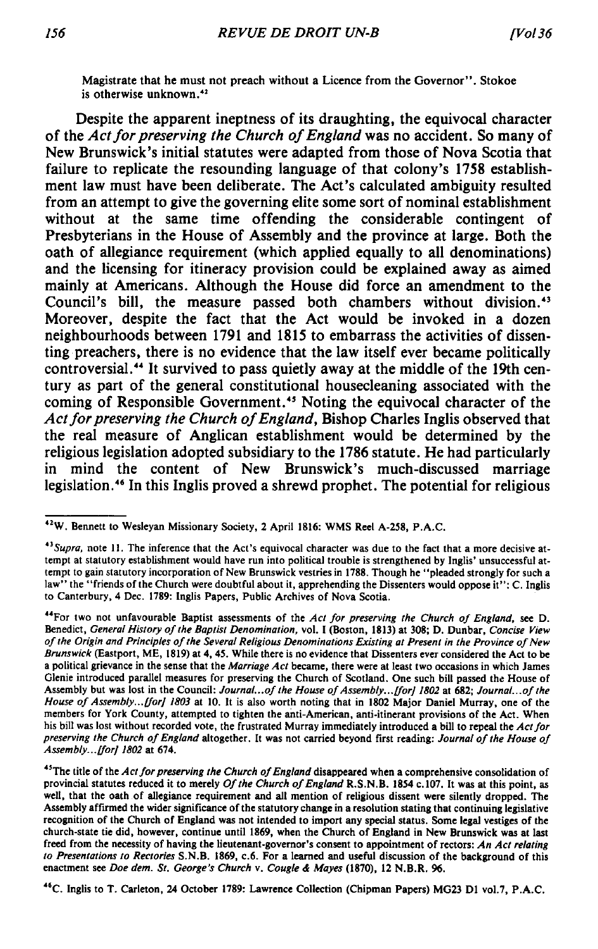Magistrate that he must not preach without a Licence from the Governor". Stokoe is otherwise unknown.<sup>42</sup>

Despite the apparent ineptness of its draughting, the equivocal character of the *Act for preserving the Church of England* was no accident. So many of New Brunswick's initial statutes were adapted from those of Nova Scotia that failure to replicate the resounding language of that colony's 1758 establishment law must have been deliberate. The Act's calculated ambiguity resulted from an attempt to give the governing elite some sort of nominal establishment without at the same time offending the considerable contingent of Presbyterians in the House of Assembly and the province at large. Both the oath of allegiance requirement (which applied equally to all denominations) and the licensing for itineracy provision could be explained away as aimed mainly at Americans. Although the House did force an amendment to the Council's bill, the measure passed both chambers without division.<sup>43</sup> Moreover, despite the fact that the Act would be invoked in a dozen neighbourhoods between 1791 and 1815 to embarrass the activities of dissenting preachers, there is no evidence that the law itself ever became politically controversial.44 It survived to pass quietly away at the middle of the 19th century as part of the general constitutional housecleaning associated with the coming of Responsible Government.45 Noting the equivocal character of the Act for preserving the Church of England, Bishop Charles Inglis observed that the real measure of Anglican establishment would be determined by the religious legislation adopted subsidiary to the 1786 statute. He had particularly in mind the content of New Brunswick's much-discussed marriage legislation.<sup>46</sup> In this Inglis proved a shrewd prophet. The potential for religious

46C. Inglis to T. Carleton, 24 October 1789: Lawrence Collection (Chipman Papers) MG23 D1 vol.7, P.A.C.

<sup>42</sup>W. Bennett to Wesleyan Missionary Society, 2 April 1816: WMS Reel A-258, P.A.C.

<sup>43</sup>*Supra,* note 11. The inference that the Act's equivocal character was due to the fact that a more decisive attempt at statutory establishment would have run into political trouble is strengthened by Inglis' unsuccessful attempt to gain statutory incorporation of New Brunswick vestries in 1788. Though he " pleaded strongly for such a law" the "friends of the Church were doubtful about it, apprehending the Dissenters would oppose it": C. Inglis to Canterbury, 4 Dec. 1789: Inglis Papers, Public Archives of Nova Scotia.

<sup>&</sup>lt;sup>44</sup>For two not unfavourable Baptist assessments of the *Act for preserving the Church of England*, see D. Benedict, *General History of the Baptist Denomination*, vol. I (Boston, 1813) at 308; D. Dunbar, *Concise View o f the Origin and Principles o f the Several Religious Denominations Existing at Present in the Province o f New Brunswick* (Eastport, ME, 1819) at 4,45. While there is no evidence that Dissenters ever considered the Act to be a political grievance in the sense that the *Marriage Act* became, there were at least two occasions in which James Glenie introduced parallel measures for preserving the Church of Scotland. One such bill passed the House of Assembly but was lost in the Council: *Journal...of the House of Assembly... [for] 1802* at 682; *Journal...of the* House of Assembly...*[for] 1803* at 10. It is also worth noting that in 1802 Major Daniel Murray, one of the members for York County, attempted to tighten the anti-American, anti-itinerant provisions of the Act. When his bill was lost without recorded vote, the frustrated Murray immediately introduced a bill to repeal the *Act for preserving the Church of England* altogether. It was not carried beyond first reading: *Journal of the House of Assembly...[for] 1802* at 674.

<sup>&</sup>lt;sup>45</sup>The title of the *Act for preserving the Church of England* disappeared when a comprehensive consolidation of provincial statutes reduced it to merely *Of the Church of England* R.S.N.B. 1854 c.107. It was at this point, as well, that the oath of allegiance requirement and all mention of religious dissent were silently dropped. The Assembly affirmed the wider significance of the statutory change in a resolution stating that continuing legislative recognition of the Church of England was not intended to import any special status. Some legal vestiges of the church-state tie did, however, continue until 1869, when the Church of England in New Brunswick was at last freed from the necessity of having the lieutenant-governor's consent to appointment of rectors: *An Act relating to Presentations to Rectories* S.N.B. 1869, c.6. For a learned and useful discussion of the background of this enactment see *Doe dem. St. George's Church* v. *Cougle & Mayes* (1870), 12 N.B.R. 96.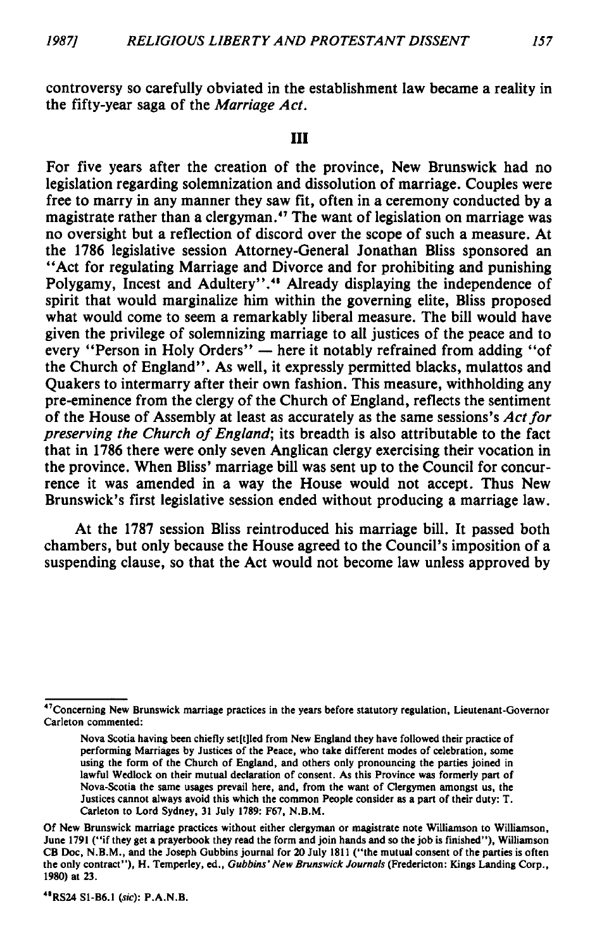## **Ill**

For five years after the creation of the province, New Brunswick had no legislation regarding solemnization and dissolution of marriage. Couples were free to marry in any manner they saw fit, often in a ceremony conducted by a magistrate rather than a clergyman.<sup>47</sup> The want of legislation on marriage was no oversight but a reflection of discord over the scope of such a measure. At the 1786 legislative session Attorney-General Jonathan Bliss sponsored an " Act for regulating Marriage and Divorce and for prohibiting and punishing Polygamy, Incest and Adultery".<sup>44</sup> Already displaying the independence of spirit that would marginalize him within the governing elite, Bliss proposed what would come to seem a remarkably liberal measure. The bill would have given the privilege of solemnizing marriage to all justices of the peace and to every "Person in Holy Orders" — here it notably refrained from adding "of the Church of England". As well, it expressly permitted blacks, mulattos and Quakers to intermarry after their own fashion. This measure, withholding any pre-eminence from the clergy of the Church of England, reflects the sentiment of the House of Assembly at least as accurately as the same sessions's *Act for preserving the Church of England*; its breadth is also attributable to the fact that in 1786 there were only seven Anglican clergy exercising their vocation in the province. When Bliss' marriage bill was sent up to the Council for concurrence it was amended in a way the House would not accept. Thus New Brunswick's first legislative session ended without producing a marriage law.

At the 1787 session Bliss reintroduced his marriage bill. It passed both chambers, but only because the House agreed to the Council's imposition of a suspending clause, so that the Act would not become law unless approved by

4\*RS24 S1-B6.1 *(sic):* P.A.N.B.

<sup>47</sup>Concerning New Brunswick marriage practices in the years before statutory regulation, Lieutenant-Governor Carleton commented:

Nova Scotia having been chiefly set[t]led from New England they have followed their practice of performing Marriages by Justices of the Peace, who take different modes of celebration, some using the form of the Church of England, and others only pronouncing the parties joined in lawful Wedlock on their mutual declaration of consent. As this Province was formerly part of Nova-Scotia the same usages prevail here, and, from the want of Clergymen amongst us, the Justices cannot always avoid this which the common People consider as a part of their duty: T. Carleton to Lord Sydney, 31 July 1789: F67, N.B.M.

Of New Brunswick marriage practices without either clergyman or magistrate note Williamson to Williamson, June 1791 ("if they get a prayerbook they read the form and join hands and so the job is finished"), Williamson CB Doc, N.B.M., and the Joseph Gubbins journal for 20 July 1811 (" the mutual consent of the parties is often the only contract" ), H. Temperley, ed., *Gubbins' New Brunswick Journals* (Fredericton: Kings Landing Corp., 1980) at 23.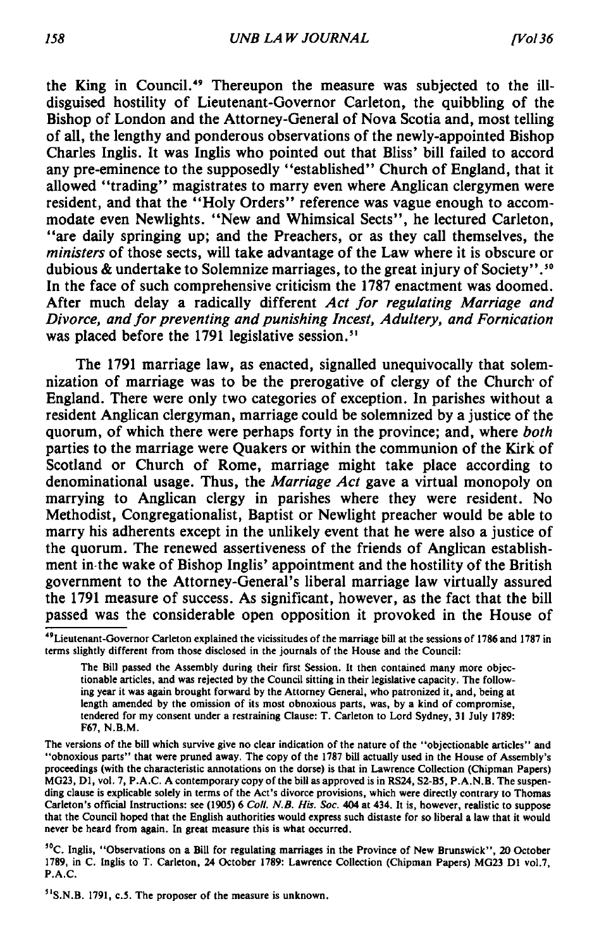the King in Council.49 Thereupon the measure was subjected to the illdisguised hostility of Lieutenant-Governor Carleton, the quibbling of the Bishop of London and the Attorney-General of Nova Scotia and, most telling of all, the lengthy and ponderous observations of the newly-appointed Bishop Charles Inglis. It was Inglis who pointed out that Bliss' bill failed to accord any pre-eminence to the supposedly " established" Church of England, that it allowed "trading" magistrates to marry even where Anglican clergymen were resident, and that the "Holy Orders" reference was vague enough to accommodate even Newlights. " New and Whimsical Sects" , he lectured Carleton, " are daily springing up; and the Preachers, or as they call themselves, the *ministers* of those sects, will take advantage of the Law where it is obscure or dubious & undertake to Solemnize marriages, to the great injury of Society" .50 In the face of such comprehensive criticism the 1787 enactment was doomed. After much delay a radically different *Act for regulating Marriage and Divorce, and for preventing and punishing Incest, Adultery, and Fornication* was placed before the 1791 legislative session.<sup>51</sup>

The 1791 marriage law, as enacted, signalled unequivocally that solemnization of marriage was to be the prerogative of clergy of the Church of England. There were only two categories of exception. In parishes without a resident Anglican clergyman, marriage could be solemnized by a justice of the quorum, of which there were perhaps forty in the province; and, where *both* parties to the marriage were Quakers or within the communion of the Kirk of Scotland or Church of Rome, marriage might take place according to denominational usage. Thus, the *Marriage Act* gave a virtual monopoly on marrying to Anglican clergy in parishes where they were resident. No Methodist, Congregationalist, Baptist or Newlight preacher would be able to marry his adherents except in the unlikely event that he were also a justice of the quorum. The renewed assertiveness of the friends of Anglican establishment in the wake of Bishop Inglis' appointment and the hostility of the British government to the Attorney-General's liberal marriage law virtually assured the 1791 measure of success. As significant, however, as the fact that the bill passed was the considerable open opposition it provoked in the House of

50C. Inglis, " Observations on a Bill for regulating marriages in the Province of New Brunswick" , 20 October 1789, in C. Inglis to T. Carleton, 24 October 1789: Lawrence Collection (Chipman Papers) MG23 Dl vol.7, P.A.C.

51S.N.B. 1791, c.5. The proposer of the measure is unknown.

<sup>49</sup>Lieutenant-Governor Carleton explained the vicissitudes of the marriage bill at the sessions of 1786 and 1787 in terms slightly different from those disclosed in the journals of the House and the Council:

The Bill passed the Assembly during their first Session. It then contained many more objectionable articles, and was rejected by the Council sitting in their legislative capacity. The following year it was again brought forward by the Attorney General, who patronized it, and, being at length amended by the omission of its most obnoxious parts, was, by a kind of compromise, tendered for my consent under a restraining Clause: T. Carleton to Lord Sydney, 31 July 1789: F67, N.B.M.

The versions of the bill which survive give no clear indication of the nature of the "objectionable articles" and "obnoxious parts" that were pruned away. The copy of the 1787 bill actually used in the House of Assembly's proceedings (with the characteristic annotations on the dorse) is that in Lawrence Collection (Chipman Papers) MG23, D1, vol. 7, P.A.C. A contemporary copy of the bill as approved is in RS24, S2-B5, P.A.N.B. The suspending clause is explicable solely in terms of the Act's divorce provisions, which were directly contrary to Thomas Carleton's official Instructions: see (1905) 6 *Coll. N.B. His. Soc.* 404 at 434. It is, however, realistic to suppose that the Council hoped that the English authorities would express such distaste for so liberal a law that it would never be heard from again. In great measure this is what occurred.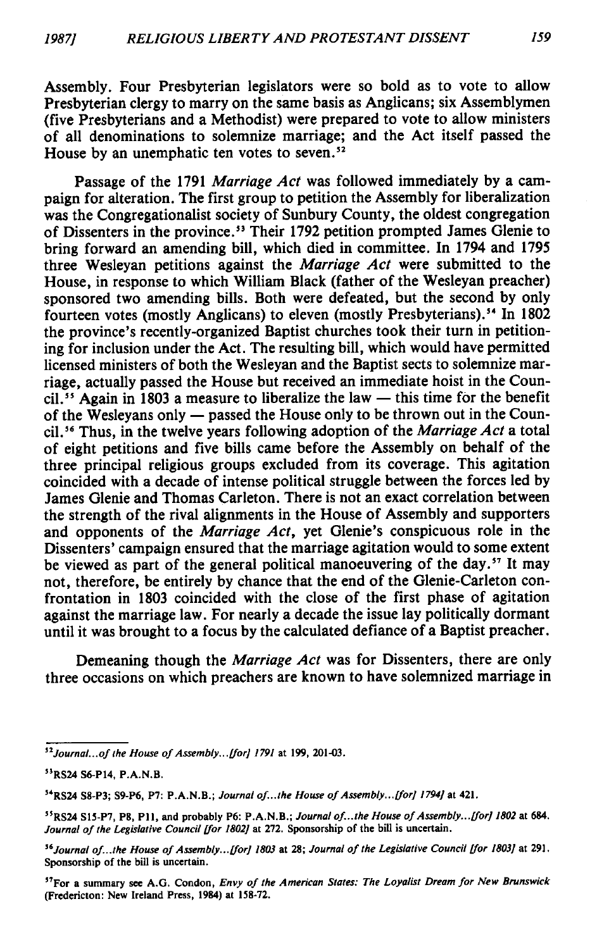Assembly. Four Presbyterian legislators were so bold as to vote to allow Presbyterian clergy to marry on the same basis as Anglicans; six Assemblymen (five Presbyterians and a Methodist) were prepared to vote to allow ministers of all denominations to solemnize marriage; and the Act itself passed the House by an unemphatic ten votes to seven.<sup>52</sup>

Passage of the 1791 *Marriage Act* was followed immediately by a campaign for alteration. The first group to petition the Assembly for liberalization was the Congregationalist society of Sunbury County, the oldest congregation of Dissenters in the province.<sup>53</sup> Their 1792 petition prompted James Glenie to bring forward an amending bill, which died in committee. In 1794 and 1795 three Wesleyan petitions against the *Marriage Act* were submitted to the House, in response to which William Black (father of the Wesleyan preacher) sponsored two amending bills. Both were defeated, but the second by only fourteen votes (mostly Anglicans) to eleven (mostly Presbyterians).<sup>54</sup> In 1802 the province's recently-organized Baptist churches took their turn in petitioning for inclusion under the Act. The resulting bill, which would have permitted licensed ministers of both the Wesleyan and the Baptist sects to solemnize marriage, actually passed the House but received an immediate hoist in the Council.<sup>55</sup> Again in 1803 a measure to liberalize the law — this time for the benefit of the Wesleyans only — passed the House only to be thrown out in the Council.56 Thus, in the twelve years following adoption of the *Marriage Act* a total of eight petitions and five bills came before the Assembly on behalf of the three principal religious groups excluded from its coverage. This agitation coincided with a decade of intense political struggle between the forces led by James Glenie and Thomas Carleton. There is not an exact correlation between the strength of the rival alignments in the House of Assembly and supporters and opponents of the *Marriage Act*, yet Glenie's conspicuous role in the Dissenters' campaign ensured that the marriage agitation would to some extent be viewed as part of the general political manoeuvering of the day.<sup>57</sup> It may not, therefore, be entirely by chance that the end of the Glenie-Carleton confrontation in 1803 coincided with the close of the first phase of agitation against the marriage law. For nearly a decade the issue lay politically dormant until it was brought to a focus by the calculated defiance of a Baptist preacher.

Demeaning though the *Marriage Act* was for Dissenters, there are only three occasions on which preachers are known to have solemnized marriage in

<sup>&</sup>lt;sup>52</sup> Journal... of the House of Assembly... [for] 1791 at 199, 201-03.

<sup>53</sup>RS24 S6-P14, P.A.N.B.

<sup>&</sup>lt;sup>54</sup>RS24 S8-P3; S9-P6, P7: P.A.N.B.; *Journal of...the House of Assembly...[for] 1794]* at 421.

<sup>&</sup>lt;sup>55</sup>RS24 S15-P7, P8, P11, and probably P6: P.A.N.B.; *Journal of...the House of Assembly... [for] 1802* at 684. Journal of the Legislative Council [for 1802] at 272. Sponsorship of the bill is uncertain.

<sup>&</sup>lt;sup>56</sup> Journal of...the House of Assembly... [for] 1803 at 28; Journal of the Legislative Council [for 1803] at 291. Sponsorship of the bill is uncertain.

<sup>&</sup>lt;sup>57</sup>For a summary see A.G. Condon, *Envy of the American States: The Loyalist Dream for New Brunswick* (Fredericton: New Ireland Press, 1984) at 158-72.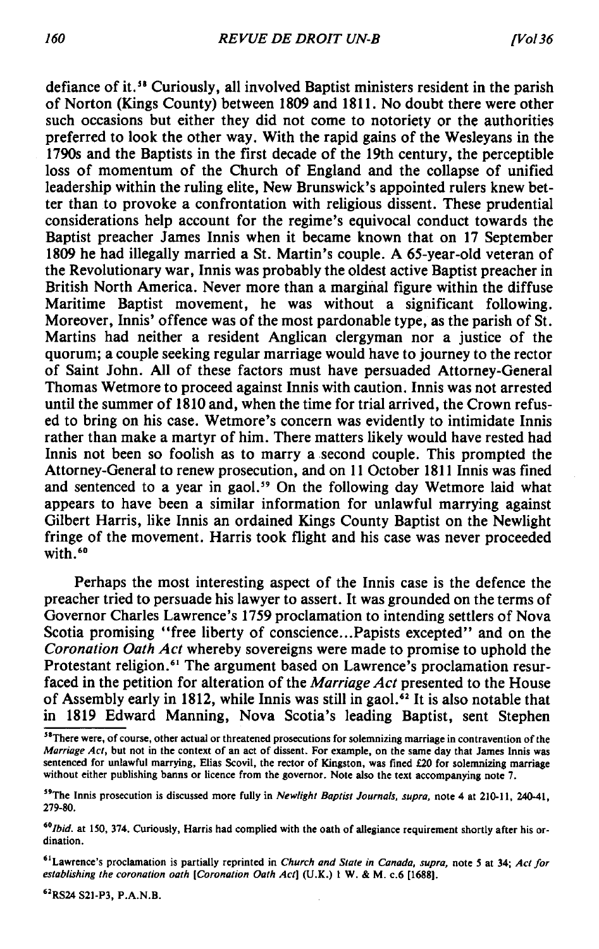defiance of it.<sup>58</sup> Curiously, all involved Baptist ministers resident in the parish of Norton (Kings County) between 1809 and 1811. No doubt there were other such occasions but either they did not come to notoriety or the authorities preferred to look the other way. With the rapid gains of the Wesleyans in the 1790s and the Baptists in the first decade of the 19th century, the perceptible loss of momentum of the Church of England and the collapse of unified leadership within the ruling elite, New Brunswick's appointed rulers knew better than to provoke a confrontation with religious dissent. These prudential considerations help account for the regime's equivocal conduct towards the Baptist preacher James Innis when it became known that on 17 September 1809 he had illegally married a St. Martin's couple. A 65-year-old veteran of the Revolutionary war, Innis was probably the oldest active Baptist preacher in British North America. Never more than a marginal figure within the diffuse Maritime Baptist movement, he was without a significant following. Moreover, Innis' offence was of the most pardonable type, as the parish of St. Martins had neither a resident Anglican clergyman nor a justice of the quorum; a couple seeking regular marriage would have to journey to the rector of Saint John. All of these factors must have persuaded Attorney-General Thomas Wetmore to proceed against Innis with caution. Innis was not arrested until the summer of 1810 and, when the time for trial arrived, the Crown refused to bring on his case. Wetmore's concern was evidently to intimidate Innis rather than make a martyr of him. There matters likely would have rested had Innis not been so foolish as to marry a second couple. This prompted the Attorney-General to renew prosecution, and on 11 October 1811 Innis was fined and sentenced to a year in gaol.<sup>59</sup> On the following day Wetmore laid what appears to have been a similar information for unlawful marrying against Gilbert Harris, like Innis an ordained Kings County Baptist on the Newlight fringe of the movement. Harris took flight and his case was never proceeded with. $60$ 

Perhaps the most interesting aspect of the Innis case is the defence the preacher tried to persuade his lawyer to assert. It was grounded on the terms of Governor Charles Lawrence's 1759 proclamation to intending settlers of Nova Scotia promising "free liberty of conscience...Papists excepted" and on the *Coronation Oath Act* whereby sovereigns were made to promise to uphold the Protestant religion.<sup>61</sup> The argument based on Lawrence's proclamation resurfaced in the petition for alteration of the *Marriage Act* presented to the House of Assembly early in 1812, while Innis was still in gaol.<sup>62</sup> It is also notable that in 1819 Edward Manning, Nova Scotia's leading Baptist, sent Stephen

<sup>62</sup>RS24 S21-P3, P.A.N.B.

<sup>&</sup>lt;sup>58</sup>There were, of course, other actual or threatened prosecutions for solemnizing marriage in contravention of the *Marriage Act,* but not in the context of an act of dissent. For example, on the same day that James Innis was sentenced for unlawful marrying, Elias Scovil, the rector of Kingston, was fined £20 for solemnizing marriage without either publishing banns or licence from the governor. Note also the text accompanying note 7.

<sup>&</sup>lt;sup>59</sup>The Innis prosecution is discussed more fully in *Newlight Baptist Journals, supra*, note 4 at 210-11, 240-41, 279-80.

<sup>&</sup>lt;sup>60</sup>Ibid. at 150, 374. Curiously, Harris had complied with the oath of allegiance requirement shortly after his ordination.

<sup>&</sup>lt;sup>61</sup> Lawrence's proclamation is partially reprinted in *Church and State in Canada, supra*, note 5 at 34; *Act for establishing the coronation oath [Coronation Oath Act*] (U.K.) 1 W. & M. c.6 [1688].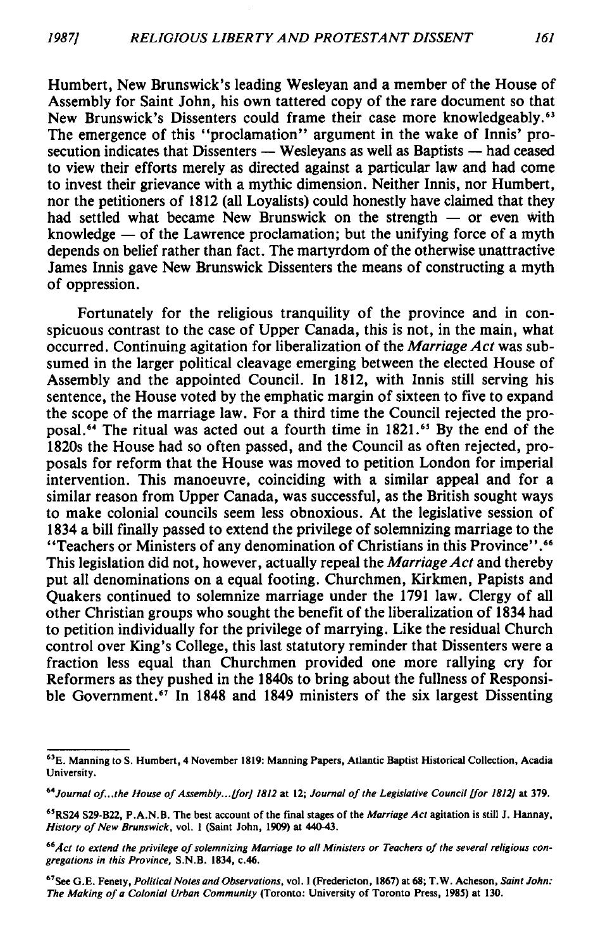Humbert, New Brunswick's leading Wesleyan and a member of the House of Assembly for Saint John, his own tattered copy of the rare document so that New Brunswick's Dissenters could frame their case more knowledgeably.63 The emergence of this "proclamation" argument in the wake of Innis' prosecution indicates that Dissenters — Wesleyans as well as Baptists — had ceased to view their efforts merely as directed against a particular law and had come to invest their grievance with a mythic dimension. Neither Innis, nor Humbert, nor the petitioners of 1812 (all Loyalists) could honestly have claimed that they had settled what became New Brunswick on the strength — or even with knowledge — of the Lawrence proclamation; but the unifying force of a myth depends on belief rather than fact. The martyrdom of the otherwise unattractive James Innis gave New Brunswick Dissenters the means of constructing a myth of oppression.

Fortunately for the religious tranquility of the province and in conspicuous contrast to the case of Upper Canada, this is not, in the main, what occurred. Continuing agitation for liberalization of the *Marriage Act* was subsumed in the larger political cleavage emerging between the elected House of Assembly and the appointed Council. In 1812, with Innis still serving his sentence, the House voted by the emphatic margin of sixteen to five to expand the scope of the marriage law. For a third time the Council rejected the proposal.64 The ritual was acted out a fourth time in 1821.65 By the end of the 1820s the House had so often passed, and the Council as often rejected, proposals for reform that the House was moved to petition London for imperial intervention. This manoeuvre, coinciding with a similar appeal and for a similar reason from Upper Canada, was successful, as the British sought ways to make colonial councils seem less obnoxious. At the legislative session of 1834 a bill finally passed to extend the privilege of solemnizing marriage to the " Teachers or Ministers of any denomination of Christians in this Province" .66 This legislation did not, however, actually repeal the *Marriage Act* and thereby put all denominations on a equal footing. Churchmen, Kirkmen, Papists and Quakers continued to solemnize marriage under the 1791 law. Clergy of all other Christian groups who sought the benefit of the liberalization of 1834 had to petition individually for the privilege of marrying. Like the residual Church control over King's College, this last statutory reminder that Dissenters were a fraction less equal than Churchmen provided one more rallying cry for Reformers as they pushed in the 1840s to bring about the fullness of Responsible Government.<sup>67</sup> In 1848 and 1849 ministers of the six largest Dissenting

<sup>&</sup>lt;sup>63</sup>E. Manning to S. Humbert, 4 November 1819: Manning Papers, Atlantic Baptist Historical Collection, Acadia University.

<sup>&</sup>lt;sup>64</sup> Journal of...the House of Assembly... [for] 1812 at 12; Journal of the Legislative Council [for 1812] at 379.

<sup>&</sup>lt;sup>65</sup>RS24 S29-B22, P.A.N.B. The best account of the final stages of the *Marriage Act* agitation is still J. Hannay, *History of New Brunswick*, vol. 1 (Saint John, 1909) at 440-43.

<sup>&</sup>lt;sup>66</sup>Act to extend the privilege of solemnizing Marriage to all Ministers or Teachers of the several religious con*gregations in this Province,* S.N.B. 1834, c.46.

<sup>67</sup>See G.E. Fenety, *Political Notes and Observations,* vol. I (Fredericton, 1867) at 68; T.W. Acheson, *Saint John:* The Making of a Colonial Urban Community (Toronto: University of Toronto Press, 1985) at 130.